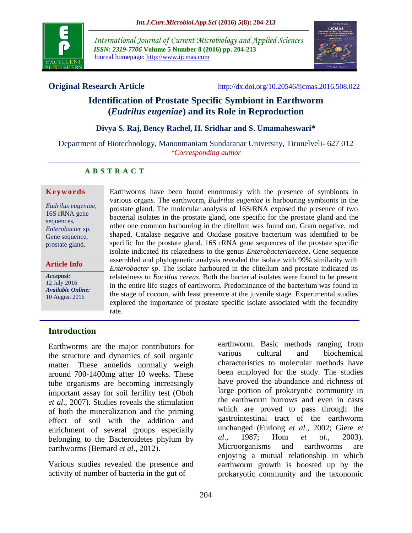

*International Journal of Current Microbiology and Applied Sciences ISSN: 2319-7706* **Volume 5 Number 8 (2016) pp. 204-213** Journal homepage: http://www.ijcmas.com



**Original Research Article** <http://dx.doi.org/10.20546/ijcmas.2016.508.022>

### **Identification of Prostate Specific Symbiont in Earthworm (***Eudrilus eugeniae***) and its Role in Reproduction**

#### **Divya S. Raj, Bency Rachel, H. Sridhar and S. Umamaheswari\***

Department of Biotechnology, Manonmaniam Sundaranar University, Tirunelveli- 627 012 *\*Corresponding author*

#### **A B S T R A C T**

#### **K e y w o r d s**

*Eudrilus eugeniae,* 16S rRNA gene sequences, *Enterobacter* sp. Gene sequence, prostate gland.

#### **Article Info**

*Accepted:*  12 July 2016 *Available Online:* 10 August 2016

Earthworms have been found enormously with the presence of symbionts in various organs. The earthworm, *Eudrilus eugeniae* is harbouring symbionts in the prostate gland. The molecular analysis of 16SrRNA exposed the presence of two bacterial isolates in the prostate gland, one specific for the prostate gland and the other one common harbouring in the clitellum was found out. Gram negative, rod shaped, Catalase negative and Oxidase positive bacterium was identified to be specific for the prostate gland. 16S rRNA gene sequences of the prostate specific isolate indicated its relatedness to the genus *Enterobacteriaeceae*. Gene sequence assembled and phylogenetic analysis revealed the isolate with 99% similarity with *Enterobacter sp*. The isolate harboured in the clitellum and prostate indicated its relatedness to *Bacillus cereus*. Both the bacterial isolates were found to be present in the entire life stages of earthworm. Predominance of the bacterium was found in the stage of cocoon, with least presence at the juvenile stage. Experimental studies explored the importance of prostate specific isolate associated with the fecundity rate.

#### **Introduction**

Earthworms are the major contributors for the structure and dynamics of soil organic matter. These annelids normally weigh around 700-1400mg after 10 weeks. These tube organisms are becoming increasingly important assay for soil fertility test (Oboh *et al*., 2007). Studies reveals the stimulation of both the mineralization and the priming effect of soil with the addition and enrichment of several groups especially belonging to the Bacteroidetes phylum by earthworms (Bernard *et al*., 2012).

Various studies revealed the presence and activity of number of bacteria in the gut of

earthworm. Basic methods ranging from various cultural and biochemical characteristics to molecular methods have been employed for the study. The studies have proved the abundance and richness of large portion of prokaryotic community in the earthworm burrows and even in casts which are proved to pass through the gastrointestinal tract of the earthworm unchanged (Furlong *et al*., 2002; Giere *et al*., 1987; Hom *et al*., 2003). Microorganisms and earthworms are enjoying a mutual relationship in which earthworm growth is boosted up by the prokaryotic community and the taxonomic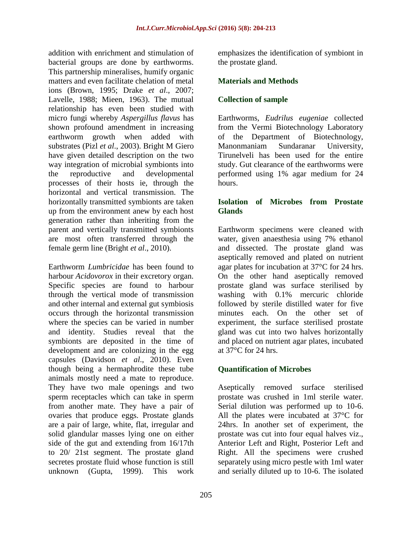addition with enrichment and stimulation of bacterial groups are done by earthworms. This partnership mineralises, humify organic matters and even facilitate chelation of metal ions (Brown, 1995; Drake *et al*., 2007; Lavelle, 1988; Mieen, 1963). The mutual relationship has even been studied with micro fungi whereby *Aspergillus flavus* has shown profound amendment in increasing earthworm growth when added with substrates (Pizl *et al*., 2003). Bright M Giero have given detailed description on the two way integration of microbial symbionts into the reproductive and developmental processes of their hosts ie, through the horizontal and vertical transmission. The horizontally transmitted symbionts are taken up from the environment anew by each host generation rather than inheriting from the parent and vertically transmitted symbionts are most often transferred through the female germ line (Bright *et al*., 2010).

Earthworm *Lumbricidae* has been found to harbour *Acidovorox* in their excretory organ. Specific species are found to harbour through the vertical mode of transmission and other internal and external gut symbiosis occurs through the horizontal transmission where the species can be varied in number and identity. Studies reveal that the symbionts are deposited in the time of development and are colonizing in the egg capsules (Davidson *et al*., 2010). Even though being a hermaphrodite these tube animals mostly need a mate to reproduce. They have two male openings and two sperm receptacles which can take in sperm from another mate. They have a pair of ovaries that produce eggs. Prostate glands are a pair of large, white, flat, irregular and solid glandular masses lying one on either side of the gut and extending from 16/17th to 20/ 21st segment. The prostate gland secretes prostate fluid whose function is still unknown (Gupta, 1999). This work

emphasizes the identification of symbiont in the prostate gland.

#### **Materials and Methods**

#### **Collection of sample**

Earthworms, *Eudrilus eugeniae* collected from the Vermi Biotechnology Laboratory of the Department of Biotechnology, Manonmaniam Sundaranar University, Tirunelveli has been used for the entire study. Gut clearance of the earthworms were performed using 1% agar medium for 24 hours.

#### **Isolation of Microbes from Prostate Glands**

Earthworm specimens were cleaned with water, given anaesthesia using 7% ethanol and dissected. The prostate gland was aseptically removed and plated on nutrient agar plates for incubation at 37°C for 24 hrs. On the other hand aseptically removed prostate gland was surface sterilised by washing with 0.1% mercuric chloride followed by sterile distilled water for five minutes each. On the other set of experiment, the surface sterilised prostate gland was cut into two halves horizontally and placed on nutrient agar plates, incubated at  $37^{\circ}$ C for 24 hrs.

#### **Quantification of Microbes**

Aseptically removed surface sterilised prostate was crushed in 1ml sterile water. Serial dilution was performed up to 10-6. All the plates were incubated at 37°C for 24hrs. In another set of experiment, the prostate was cut into four equal halves viz., Anterior Left and Right, Posterior Left and Right. All the specimens were crushed separately using micro pestle with 1ml water and serially diluted up to 10-6. The isolated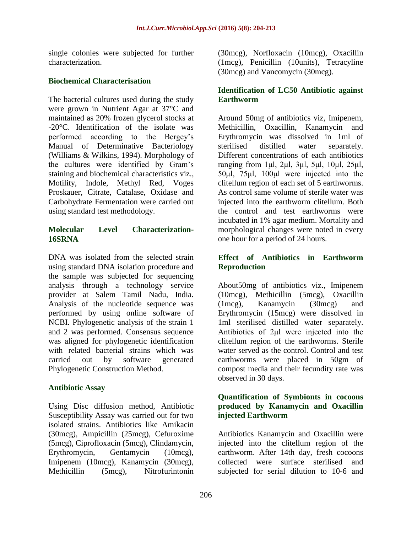single colonies were subjected for further characterization.

#### **Biochemical Characterisation**

The bacterial cultures used during the study were grown in Nutrient Agar at 37°C and maintained as 20% frozen glycerol stocks at -20°C. Identification of the isolate was performed according to the Bergey's Manual of Determinative Bacteriology (Williams & Wilkins, 1994). Morphology of the cultures were identified by Gram's staining and biochemical characteristics viz., Motility, Indole, Methyl Red, Voges Proskauer, Citrate, Catalase, Oxidase and Carbohydrate Fermentation were carried out using standard test methodology.

#### **Molecular Level Characterization-16SRNA**

DNA was isolated from the selected strain using standard DNA isolation procedure and the sample was subjected for sequencing analysis through a technology service provider at Salem Tamil Nadu, India. Analysis of the nucleotide sequence was performed by using online software of NCBI. Phylogenetic analysis of the strain 1 and 2 was performed. Consensus sequence was aligned for phylogenetic identification with related bacterial strains which was carried out by software generated Phylogenetic Construction Method.

#### **Antibiotic Assay**

Using Disc diffusion method, Antibiotic Susceptibility Assay was carried out for two isolated strains. Antibiotics like Amikacin (30mcg), Ampicillin (25mcg), Cefuroxime (5mcg), Ciprofloxacin (5mcg), Clindamycin, Erythromycin, Gentamycin (10mcg), Imipenem (10mcg), Kanamycin (30mcg), Methicillin (5mcg), Nitrofurintonin

(30mcg), Norfloxacin (10mcg), Oxacillin (1mcg), Penicillin (10units), Tetracyline (30mcg) and Vancomycin (30mcg).

#### **Identification of LC50 Antibiotic against Earthworm**

Around 50mg of antibiotics viz, Imipenem, Methicillin, Oxacillin, Kanamycin and Erythromycin was dissolved in 1ml of sterilised distilled water separately. Different concentrations of each antibiotics ranging from 1μl, 2μl, 3μl, 5μl, 10μl, 25μl, 50μl, 75μl, 100μl were injected into the clitellum region of each set of 5 earthworms. As control same volume of sterile water was injected into the earthworm clitellum. Both the control and test earthworms were incubated in 1% agar medium. Mortality and morphological changes were noted in every one hour for a period of 24 hours.

#### **Effect of Antibiotics in Earthworm Reproduction**

About50mg of antibiotics viz., Imipenem (10mcg), Methicillin (5mcg), Oxacillin (1mcg), Kanamycin (30mcg) and Erythromycin (15mcg) were dissolved in 1ml sterilised distilled water separately. Antibiotics of 2μl were injected into the clitellum region of the earthworms. Sterile water served as the control. Control and test earthworms were placed in 50gm of compost media and their fecundity rate was observed in 30 days.

#### **Quantification of Symbionts in cocoons produced by Kanamycin and Oxacillin injected Earthworm**

Antibiotics Kanamycin and Oxacillin were injected into the clitellum region of the earthworm. After 14th day, fresh cocoons collected were surface sterilised and subjected for serial dilution to 10-6 and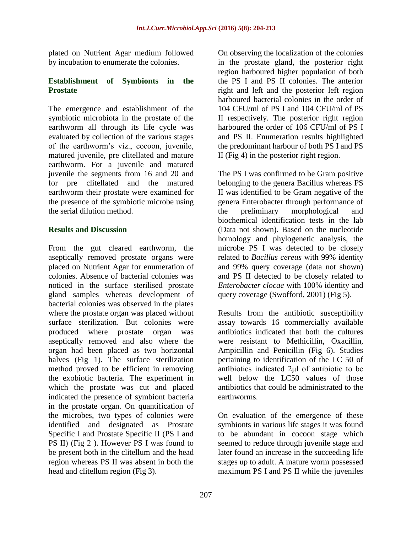plated on Nutrient Agar medium followed by incubation to enumerate the colonies.

#### **Establishment of Symbionts in the Prostate**

The emergence and establishment of the symbiotic microbiota in the prostate of the earthworm all through its life cycle was evaluated by collection of the various stages of the earthworm's viz., cocoon, juvenile, matured juvenile, pre clitellated and mature earthworm. For a juvenile and matured juvenile the segments from 16 and 20 and for pre clitellated and the matured earthworm their prostate were examined for the presence of the symbiotic microbe using the serial dilution method.

#### **Results and Discussion**

From the gut cleared earthworm, the aseptically removed prostate organs were placed on Nutrient Agar for enumeration of colonies. Absence of bacterial colonies was noticed in the surface sterilised prostate gland samples whereas development of bacterial colonies was observed in the plates where the prostate organ was placed without surface sterilization. But colonies were produced where prostate organ was aseptically removed and also where the organ had been placed as two horizontal halves (Fig 1). The surface sterilization method proved to be efficient in removing the exobiotic bacteria. The experiment in which the prostate was cut and placed indicated the presence of symbiont bacteria in the prostate organ. On quantification of the microbes, two types of colonies were identified and designated as Prostate Specific I and Prostate Specific II (PS I and PS II) (Fig 2 ). However PS I was found to be present both in the clitellum and the head region whereas PS II was absent in both the head and clitellum region (Fig 3).

On observing the localization of the colonies in the prostate gland, the posterior right region harboured higher population of both the PS I and PS II colonies. The anterior right and left and the posterior left region harboured bacterial colonies in the order of 104 CFU/ml of PS I and 104 CFU/ml of PS II respectively. The posterior right region harboured the order of 106 CFU/ml of PS I and PS II. Enumeration results highlighted the predominant harbour of both PS I and PS II (Fig 4) in the posterior right region.

The PS I was confirmed to be Gram positive belonging to the genera Bacillus whereas PS II was identified to be Gram negative of the genera Enterobacter through performance of the preliminary morphological and biochemical identification tests in the lab (Data not shown). Based on the nucleotide homology and phylogenetic analysis, the microbe PS I was detected to be closely related to *Bacillus cereus* with 99% identity and 99% query coverage (data not shown) and PS II detected to be closely related to *Enterobacter clocae* with 100% identity and query coverage (Swofford, 2001) (Fig 5).

Results from the antibiotic susceptibility assay towards 16 commercially available antibiotics indicated that both the cultures were resistant to Methicillin, Oxacillin, Ampicillin and Penicillin (Fig 6). Studies pertaining to identification of the LC 50 of antibiotics indicated 2μl of antibiotic to be well below the LC50 values of those antibiotics that could be administrated to the earthworms.

On evaluation of the emergence of these symbionts in various life stages it was found to be abundant in cocoon stage which seemed to reduce through juvenile stage and later found an increase in the succeeding life stages up to adult. A mature worm possessed maximum PS I and PS II while the juveniles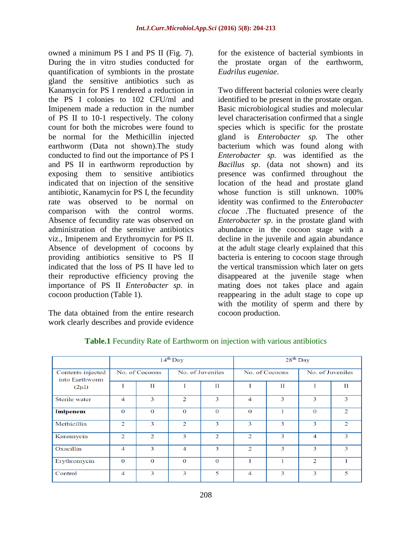owned a minimum PS I and PS II (Fig. 7). During the in vitro studies conducted for quantification of symbionts in the prostate gland the sensitive antibiotics such as Kanamycin for PS I rendered a reduction in the PS I colonies to 102 CFU/ml and Imipenem made a reduction in the number of PS II to 10-1 respectively. The colony count for both the microbes were found to be normal for the Methicillin injected earthworm (Data not shown).The study conducted to find out the importance of PS I and PS II in earthworm reproduction by exposing them to sensitive antibiotics indicated that on injection of the sensitive antibiotic, Kanamycin for PS I, the fecundity rate was observed to be normal on comparison with the control worms. Absence of fecundity rate was observed on administration of the sensitive antibiotics viz., Imipenem and Erythromycin for PS II. Absence of development of cocoons by providing antibiotics sensitive to PS II indicated that the loss of PS II have led to their reproductive efficiency proving the importance of PS II *Enterobacter sp.* in cocoon production (Table 1).

The data obtained from the entire research work clearly describes and provide evidence

for the existence of bacterial symbionts in the prostate organ of the earthworm, *Eudrilus eugeniae*.

Two different bacterial colonies were clearly identified to be present in the prostate organ. Basic microbiological studies and molecular level characterisation confirmed that a single species which is specific for the prostate gland is *Enterobacter sp.* The other bacterium which was found along with *Enterobacter sp.* was identified as the *Bacillus sp*. (data not shown) and its presence was confirmed throughout the location of the head and prostate gland whose function is still unknown. 100% identity was confirmed to the *Enterobacter clocae* .The fluctuated presence of the *Enterobacter sp*. in the prostate gland with abundance in the cocoon stage with a decline in the juvenile and again abundance at the adult stage clearly explained that this bacteria is entering to cocoon stage through the vertical transmission which later on gets disappeared at the juvenile stage when mating does not takes place and again reappearing in the adult stage to cope up with the motility of sperm and there by cocoon production.

|                                                   | $14^{th}$ Day  |                |                  |                | $28th$ Day     |             |                  |   |
|---------------------------------------------------|----------------|----------------|------------------|----------------|----------------|-------------|------------------|---|
| Contents injected<br>into Earthworm<br>$(2\mu l)$ | No. of Cocoons |                | No. of Juveniles |                | No. of Cocoons |             | No. of Juveniles |   |
|                                                   |                | П              |                  | П              | Т              | $_{\rm II}$ |                  | П |
| Sterile water                                     | 4              | 3              | $\overline{2}$   | 3              | $\overline{4}$ | 3           | 3                | 3 |
| Imipenem                                          | $\Omega$       | $\Omega$       | $\Omega$         | $\Omega$       | $\Omega$       |             | $\Omega$         | 2 |
| Methicillin                                       | $\overline{2}$ | 3              | 2                | 3              | 3              | 3           | 3                | 2 |
| Kanamycin                                         | 2              | $\overline{2}$ | 3                | $\overline{2}$ | $\overline{2}$ | 3           | 4                | 3 |
| Oxacillin                                         | 4              | 3              | $\overline{4}$   | 3              | $\overline{2}$ | 3           | 3                | 3 |
| Erythromycin                                      | $\mathbf{0}$   | $\mathbf{0}$   | $\mathbf{O}$     | $\mathbf{0}$   |                |             | $\overline{2}$   |   |
| Control                                           | 4              | 3              | 3                | 5              | 4              | 3           | 3                | 5 |

#### **Table.1** Fecundity Rate of Earthworm on injection with various antibiotics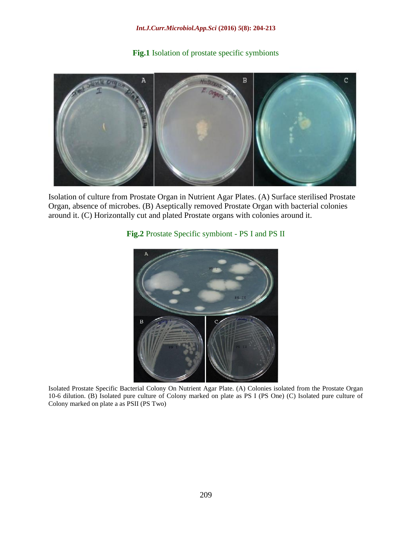#### **Fig.1** Isolation of prostate specific symbionts



Isolation of culture from Prostate Organ in Nutrient Agar Plates. (A) Surface sterilised Prostate Organ, absence of microbes. (B) Aseptically removed Prostate Organ with bacterial colonies around it. (C) Horizontally cut and plated Prostate organs with colonies around it.

## **Fig.2** Prostate Specific symbiont - PS I and PS II



Isolated Prostate Specific Bacterial Colony On Nutrient Agar Plate. (A) Colonies isolated from the Prostate Organ 10-6 dilution. (B) Isolated pure culture of Colony marked on plate as PS I (PS One) (C) Isolated pure culture of Colony marked on plate a as PSII (PS Two)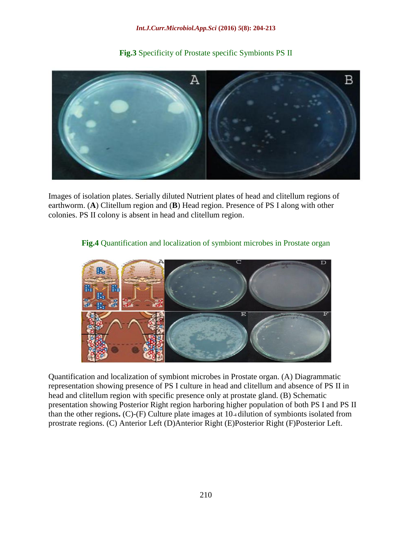# B A

**Fig.3** Specificity of Prostate specific Symbionts PS II

Images of isolation plates. Serially diluted Nutrient plates of head and clitellum regions of earthworm. (**A**) Clitellum region and (**B**) Head region. Presence of PS I along with other colonies. PS II colony is absent in head and clitellum region.



#### **Fig.4** Quantification and localization of symbiont microbes in Prostate organ

Quantification and localization of symbiont microbes in Prostate organ. (A) Diagrammatic representation showing presence of PS I culture in head and clitellum and absence of PS II in head and clitellum region with specific presence only at prostate gland. (B) Schematic presentation showing Posterior Right region harboring higher population of both PS I and PS II than the other regions**.** (C)-(F) Culture plate images at 10-4 dilution of symbionts isolated from prostrate regions. (C) Anterior Left (D)Anterior Right (E)Posterior Right (F)Posterior Left.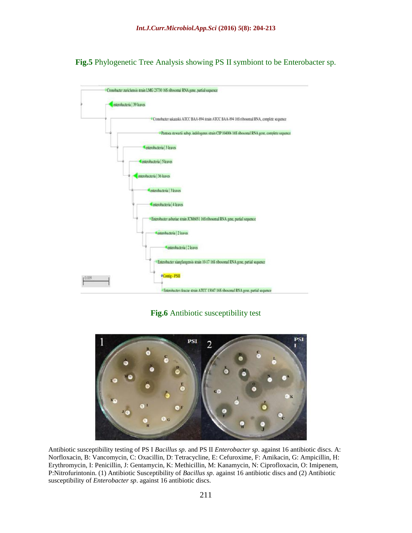**Fig.5** Phylogenetic Tree Analysis showing PS II symbiont to be Enterobacter sp.



**Fig.6** Antibiotic susceptibility test



Antibiotic susceptibility testing of PS I *Bacillus sp.* and PS II *Enterobacter sp*. against 16 antibiotic discs. A: Norfloxacin, B: Vancomycin, C: Oxacillin, D: Tetracycline, E: Cefuroxime, F: Amikacin, G: Ampicillin, H: Erythromycin, I: Penicillin, J: Gentamycin, K: Methicillin, M: Kanamycin, N: Ciprofloxacin, O: Imipenem, P:Nitrofurintonin. (1) Antibiotic Susceptibility of *Bacillus sp.* against 16 antibiotic discs and (2) Antibiotic susceptibility of *Enterobacter sp*. against 16 antibiotic discs.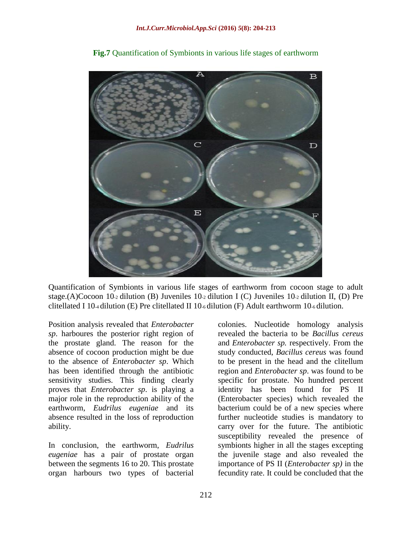

**Fig.7** Quantification of Symbionts in various life stages of earthworm

Quantification of Symbionts in various life stages of earthworm from cocoon stage to adult stage.(A)Cocoon 10-2 dilution (B) Juveniles 10-2 dilution I (C) Juveniles 10-2 dilution II, (D) Pre clitellated I 10-4 dilution (E) Pre clitellated II 10-6 dilution (F) Adult earthworm 10-6 dilution.

Position analysis revealed that *Enterobacter sp*. harboures the posterior right region of the prostate gland. The reason for the absence of cocoon production might be due to the absence of *Enterobacter sp*. Which has been identified through the antibiotic sensitivity studies. This finding clearly proves that *Enterobacter sp*. is playing a major role in the reproduction ability of the earthworm, *Eudrilus eugeniae* and its absence resulted in the loss of reproduction ability.

In conclusion, the earthworm, *Eudrilus eugeniae* has a pair of prostate organ between the segments 16 to 20. This prostate organ harbours two types of bacterial

colonies. Nucleotide homology analysis revealed the bacteria to be *Bacillus cereus*  and *Enterobacter sp.* respectively. From the study conducted, *Bacillus cereus* was found to be present in the head and the clitellum region and *Enterobacter sp*. was found to be specific for prostate. No hundred percent identity has been found for PS II (Enterobacter species) which revealed the bacterium could be of a new species where further nucleotide studies is mandatory to carry over for the future. The antibiotic susceptibility revealed the presence of symbionts higher in all the stages excepting the juvenile stage and also revealed the importance of PS II (*Enterobacter sp)* in the fecundity rate. It could be concluded that the